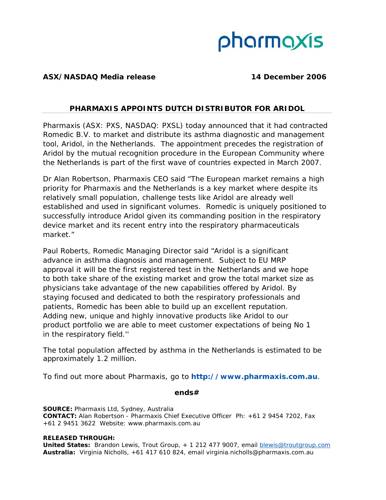# pharmaxis

## **ASX/NASDAQ Media release 14 December 2006**

# *PHARMAXIS APPOINTS DUTCH DISTRIBUTOR FOR ARIDOL*

Pharmaxis (ASX: PXS, NASDAQ: PXSL) today announced that it had contracted Romedic B.V. to market and distribute its asthma diagnostic and management tool, Aridol, in the Netherlands. The appointment precedes the registration of Aridol by the mutual recognition procedure in the European Community where the Netherlands is part of the first wave of countries expected in March 2007.

Dr Alan Robertson, Pharmaxis CEO said "The European market remains a high priority for Pharmaxis and the Netherlands is a key market where despite its relatively small population, challenge tests like Aridol are already well established and used in significant volumes. Romedic is uniquely positioned to successfully introduce Aridol given its commanding position in the respiratory device market and its recent entry into the respiratory pharmaceuticals market."

Paul Roberts, Romedic Managing Director said "Aridol is a significant advance in asthma diagnosis and management. Subject to EU MRP approval it will be the first registered test in the Netherlands and we hope to both take share of the existing market and grow the total market size as physicians take advantage of the new capabilities offered by Aridol. By staying focused and dedicated to both the respiratory professionals and patients, Romedic has been able to build up an excellent reputation. Adding new, unique and highly innovative products like Aridol to our product portfolio we are able to meet customer expectations of being No 1 in the respiratory field.''

The total population affected by asthma in the Netherlands is estimated to be approximately 1.2 million.

To find out more about Pharmaxis, go to **http://www.pharmaxis.com.au**.

## *ends#*

**SOURCE:** Pharmaxis Ltd, Sydney, Australia **CONTACT:** Alan Robertson - Pharmaxis Chief Executive Officer Ph: +61 2 9454 7202, Fax +61 2 9451 3622 Website: www.pharmaxis.com.au

## **RELEASED THROUGH:**

**United States:** Brandon Lewis, Trout Group, + 1 212 477 9007, email blewis@troutgroup.com **Australia:** Virginia Nicholls, +61 417 610 824, email virginia.nicholls@pharmaxis.com.au